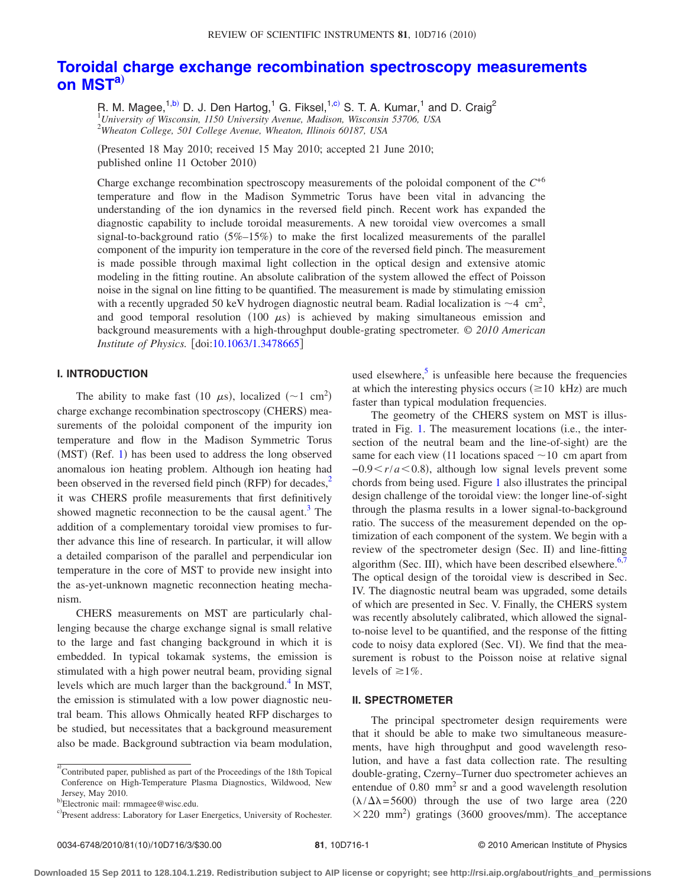# **[Toroidal charge exchange recombination spectroscopy measurements](http://dx.doi.org/10.1063/1.3478665) [on MST](http://dx.doi.org/10.1063/1.3478665)[a](#page-0-0)**…

R. M. Magee,<sup>1[,b](#page-0-1))</sup> D. J. Den Hartog,<sup>1</sup> G. Fiksel,<sup>1[,c](#page-0-2))</sup> S. T. A. Kumar,<sup>1</sup> and D. Craig<sup>2</sup> 1 *University of Wisconsin, 1150 University Avenue, Madison, Wisconsin 53706, USA* 2 *Wheaton College, 501 College Avenue, Wheaton, Illinois 60187, USA*

(Presented 18 May 2010; received 15 May 2010; accepted 21 June 2010; published online 11 October 2010

Charge exchange recombination spectroscopy measurements of the poloidal component of the *C*+6 temperature and flow in the Madison Symmetric Torus have been vital in advancing the understanding of the ion dynamics in the reversed field pinch. Recent work has expanded the diagnostic capability to include toroidal measurements. A new toroidal view overcomes a small signal-to-background ratio  $(5\%-15\%)$  to make the first localized measurements of the parallel component of the impurity ion temperature in the core of the reversed field pinch. The measurement is made possible through maximal light collection in the optical design and extensive atomic modeling in the fitting routine. An absolute calibration of the system allowed the effect of Poisson noise in the signal on line fitting to be quantified. The measurement is made by stimulating emission with a recently upgraded 50 keV hydrogen diagnostic neutral beam. Radial localization is  $\sim$  4 cm<sup>2</sup>, and good temporal resolution  $(100 \mu s)$  is achieved by making simultaneous emission and background measurements with a high-throughput double-grating spectrometer. *© 2010 American Institute of Physics.* [doi[:10.1063/1.3478665](http://dx.doi.org/10.1063/1.3478665)]

## **I. INTRODUCTION**

The ability to make fast (10  $\mu$ s), localized (~1 cm<sup>2</sup>) charge exchange recombination spectroscopy (CHERS) measurements of the poloidal component of the impurity ion temperature and flow in the Madison Symmetric Torus (MST) (Ref. [1](#page-2-0)) has been used to address the long observed anomalous ion heating problem. Although ion heating had been observed in the reversed field pinch (RFP) for decades, $<sup>2</sup>$ </sup> it was CHERS profile measurements that first definitively showed magnetic reconnection to be the causal agent. $3$  The addition of a complementary toroidal view promises to further advance this line of research. In particular, it will allow a detailed comparison of the parallel and perpendicular ion temperature in the core of MST to provide new insight into the as-yet-unknown magnetic reconnection heating mechanism.

CHERS measurements on MST are particularly challenging because the charge exchange signal is small relative to the large and fast changing background in which it is embedded. In typical tokamak systems, the emission is stimulated with a high power neutral beam, providing signal levels which are much larger than the background. $4$  In MST, the emission is stimulated with a low power diagnostic neutral beam. This allows Ohmically heated RFP discharges to be studied, but necessitates that a background measurement also be made. Background subtraction via beam modulation,

levels of  $\geq 1\%$ .

that it should be able to make two simultaneous measurements, have high throughput and good wavelength resolution, and have a fast data collection rate. The resulting double-grating, Czerny–Turner duo spectrometer achieves an entendue of  $0.80$  mm<sup>2</sup> sr and a good wavelength resolution  $(\lambda/\Delta\lambda = 5600)$  through the use of two large area (220)  $\times$  220 mm<sup>2</sup>) gratings (3600 grooves/mm). The acceptance

used elsewhere, $\frac{5}{3}$  is unfeasible here because the frequencies at which the interesting physics occurs  $(\geq 10 \text{ kHz})$  are much

The geometry of the CHERS system on MST is illus-trated in Fig. [1.](#page-1-0) The measurement locations (i.e., the intersection of the neutral beam and the line-of-sight) are the same for each view (11 locations spaced  $\sim$  10 cm apart from  $-0.9 \lt r/a \lt 0.8$ ), although low signal levels prevent some chords from being used. Figure [1](#page-1-0) also illustrates the principal design challenge of the toroidal view: the longer line-of-sight through the plasma results in a lower signal-to-background ratio. The success of the measurement depended on the optimization of each component of the system. We begin with a review of the spectrometer design (Sec. II) and line-fitting algorithm (Sec. III), which have been described elsewhere.<sup>6[,7](#page-2-6)</sup> The optical design of the toroidal view is described in Sec. IV. The diagnostic neutral beam was upgraded, some details of which are presented in Sec. V. Finally, the CHERS system was recently absolutely calibrated, which allowed the signalto-noise level to be quantified, and the response of the fitting code to noisy data explored (Sec. VI). We find that the measurement is robust to the Poisson noise at relative signal

faster than typical modulation frequencies.

**II. SPECTROMETER**

<span id="page-0-0"></span>a) Contributed paper, published as part of the Proceedings of the 18th Topical Conference on High-Temperature Plasma Diagnostics, Wildwood, New Jersey, May 2010.

<span id="page-0-1"></span>b Electronic mail: rmmagee@wisc.edu.

<span id="page-0-2"></span>c)Present address: Laboratory for Laser Energetics, University of Rochester.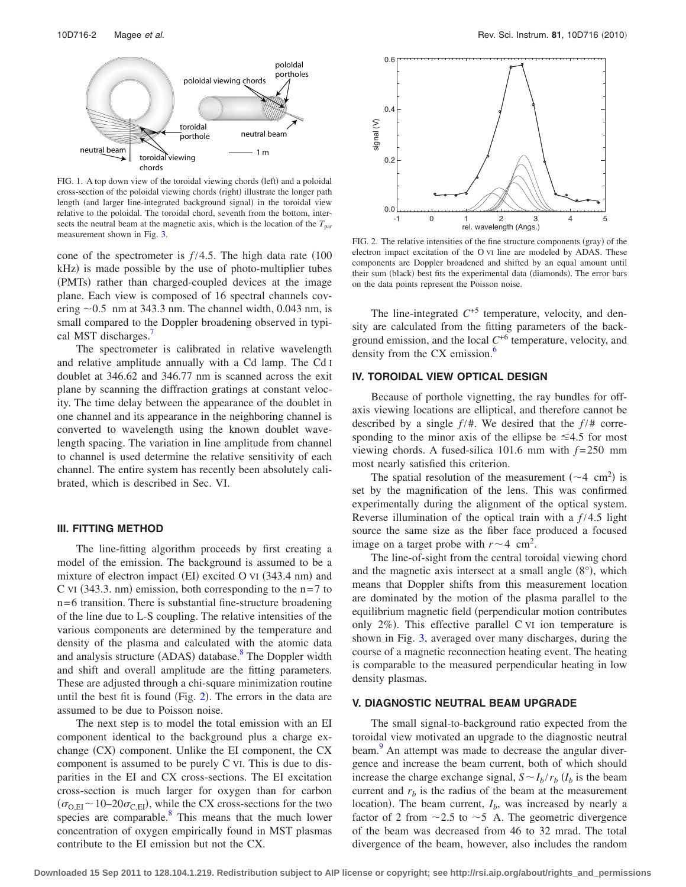<span id="page-1-0"></span>

FIG. 1. A top down view of the toroidal viewing chords (left) and a poloidal cross-section of the poloidal viewing chords (right) illustrate the longer path length (and larger line-integrated background signal) in the toroidal view relative to the poloidal. The toroidal chord, seventh from the bottom, intersects the neutral beam at the magnetic axis, which is the location of the  $T_{\text{par}}$ measurement shown in Fig. [3.](#page-2-8)

cone of the spectrometer is  $f/4.5$ . The high data rate  $(100$  $kHz$ ) is made possible by the use of photo-multiplier tubes (PMTs) rather than charged-coupled devices at the image plane. Each view is composed of 16 spectral channels covering  $\sim$  0.5 nm at 343.3 nm. The channel width, 0.043 nm, is small compared to the Doppler broadening observed in typical MST discharges.

The spectrometer is calibrated in relative wavelength and relative amplitude annually with a Cd lamp. The Cd I doublet at 346.62 and 346.77 nm is scanned across the exit plane by scanning the diffraction gratings at constant velocity. The time delay between the appearance of the doublet in one channel and its appearance in the neighboring channel is converted to wavelength using the known doublet wavelength spacing. The variation in line amplitude from channel to channel is used determine the relative sensitivity of each channel. The entire system has recently been absolutely calibrated, which is described in Sec. VI.

#### **III. FITTING METHOD**

The line-fitting algorithm proceeds by first creating a model of the emission. The background is assumed to be a mixture of electron impact (EI) excited O VI (343.4 nm) and C VI  $(343.3. \text{ nm})$  emission, both corresponding to the  $n=7$  to n= 6 transition. There is substantial fine-structure broadening of the line due to L-S coupling. The relative intensities of the various components are determined by the temperature and density of the plasma and calculated with the atomic data and analysis structure (ADAS) database.<sup>8</sup> The Doppler width and shift and overall amplitude are the fitting parameters. These are adjusted through a chi-square minimization routine until the best fit is found (Fig.  $2$ ). The errors in the data are assumed to be due to Poisson noise.

The next step is to model the total emission with an EI component identical to the background plus a charge exchange (CX) component. Unlike the EI component, the CX component is assumed to be purely C VI. This is due to disparities in the EI and CX cross-sections. The EI excitation cross-section is much larger for oxygen than for carbon  $(\sigma_{\text{O,EI}} \sim 10-20\sigma_{\text{C,EI}})$ , while the CX cross-sections for the two species are comparable.<sup>8</sup> This means that the much lower concentration of oxygen empirically found in MST plasmas contribute to the EI emission but not the CX.

<span id="page-1-1"></span>

FIG. 2. The relative intensities of the fine structure components (gray) of the electron impact excitation of the O VI line are modeled by ADAS. These components are Doppler broadened and shifted by an equal amount until their sum (black) best fits the experimental data (diamonds). The error bars on the data points represent the Poisson noise.

The line-integrated  $C^{+5}$  temperature, velocity, and density are calculated from the fitting parameters of the background emission, and the local  $C^{+6}$  temperature, velocity, and density from the CX emission.<sup>6</sup>

## **IV. TOROIDAL VIEW OPTICAL DESIGN**

Because of porthole vignetting, the ray bundles for offaxis viewing locations are elliptical, and therefore cannot be described by a single  $f/\#$ . We desired that the  $f/\#$  corresponding to the minor axis of the ellipse be  $\leq 4.5$  for most viewing chords. A fused-silica  $101.6$  mm with  $f = 250$  mm most nearly satisfied this criterion.

The spatial resolution of the measurement  $({\sim}4 \text{ cm}^2)$  is set by the magnification of the lens. This was confirmed experimentally during the alignment of the optical system. Reverse illumination of the optical train with a  $f/4.5$  light source the same size as the fiber face produced a focused image on a target probe with  $r \sim 4$  cm<sup>2</sup>.

The line-of-sight from the central toroidal viewing chord and the magnetic axis intersect at a small angle  $(8^{\circ})$ , which means that Doppler shifts from this measurement location are dominated by the motion of the plasma parallel to the equilibrium magnetic field (perpendicular motion contributes only  $2\%$ ). This effective parallel C VI ion temperature is shown in Fig. [3,](#page-2-8) averaged over many discharges, during the course of a magnetic reconnection heating event. The heating is comparable to the measured perpendicular heating in low density plasmas.

#### **V. DIAGNOSTIC NEUTRAL BEAM UPGRADE**

The small signal-to-background ratio expected from the toroidal view motivated an upgrade to the diagnostic neutral beam.<sup>9</sup> An attempt was made to decrease the angular divergence and increase the beam current, both of which should increase the charge exchange signal,  $S \sim I_b / r_b$  ( $I_b$  is the beam current and  $r<sub>b</sub>$  is the radius of the beam at the measurement location). The beam current,  $I<sub>b</sub>$ , was increased by nearly a factor of 2 from  $\sim$ 2.5 to  $\sim$ 5 A. The geometric divergence of the beam was decreased from 46 to 32 mrad. The total divergence of the beam, however, also includes the random